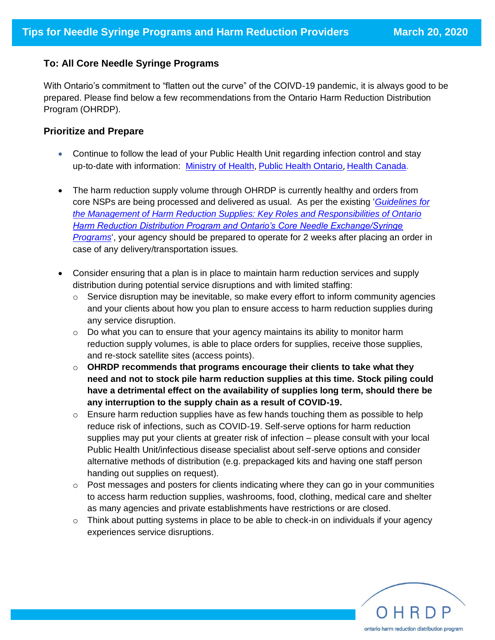## **To: All Core Needle Syringe Programs**

With Ontario's commitment to "flatten out the curve" of the COIVD-19 pandemic, it is always good to be prepared. Please find below a few recommendations from the Ontario Harm Reduction Distribution Program (OHRDP).

## **Prioritize and Prepare**

- Continue to follow the lead of your Public Health Unit regarding infection control and stay up-to-date with information: [Ministry of Health,](https://www.ontario.ca/page/2019-novel-coronavirus) [Public Health Ontario](https://www.publichealthontario.ca/en/diseases-and-conditions/infectious-diseases/respiratory-diseases/novel-coronavirus), [Health Canada.](https://www.canada.ca/en/public-health/services/publications/diseases-conditions/self-monitoring-self-isolation-isolation-for-covid-19.html)
- The harm reduction supply volume through OHRDP is currently healthy and orders from core NSPs are being processed and delivered as usual. As per the existing '*[Guidelines for](http://www.ohrdp.ca/wp-content/uploads/2019/09/GuidelinesOHRDP2019.pdf)  [the Management of Harm Reduction Supplies: Key Roles and Responsibilities of Ontario](http://www.ohrdp.ca/wp-content/uploads/2019/09/GuidelinesOHRDP2019.pdf)  [Harm Reduction Distribution Program and Ontario's Core Needle Exchange/Syringe](http://www.ohrdp.ca/wp-content/uploads/2019/09/GuidelinesOHRDP2019.pdf)  [Programs](http://www.ohrdp.ca/wp-content/uploads/2019/09/GuidelinesOHRDP2019.pdf)*', your agency should be prepared to operate for 2 weeks after placing an order in case of any delivery/transportation issues.
- Consider ensuring that a plan is in place to maintain harm reduction services and supply distribution during potential service disruptions and with limited staffing:
	- o Service disruption may be inevitable, so make every effort to inform community agencies and your clients about how you plan to ensure access to harm reduction supplies during any service disruption.
	- $\circ$  Do what you can to ensure that your agency maintains its ability to monitor harm reduction supply volumes, is able to place orders for supplies, receive those supplies, and re-stock satellite sites (access points).
	- o **OHRDP recommends that programs encourage their clients to take what they need and not to stock pile harm reduction supplies at this time. Stock piling could have a detrimental effect on the availability of supplies long term, should there be any interruption to the supply chain as a result of COVID-19.**
	- $\circ$  Ensure harm reduction supplies have as few hands touching them as possible to help reduce risk of infections, such as COVID-19. Self-serve options for harm reduction supplies may put your clients at greater risk of infection – please consult with your local Public Health Unit/infectious disease specialist about self-serve options and consider alternative methods of distribution (e.g. prepackaged kits and having one staff person handing out supplies on request).
	- $\circ$  Post messages and posters for clients indicating where they can go in your communities to access harm reduction supplies, washrooms, food, clothing, medical care and shelter as many agencies and private establishments have restrictions or are closed.
	- $\circ$  Think about putting systems in place to be able to check-in on individuals if your agency experiences service disruptions.